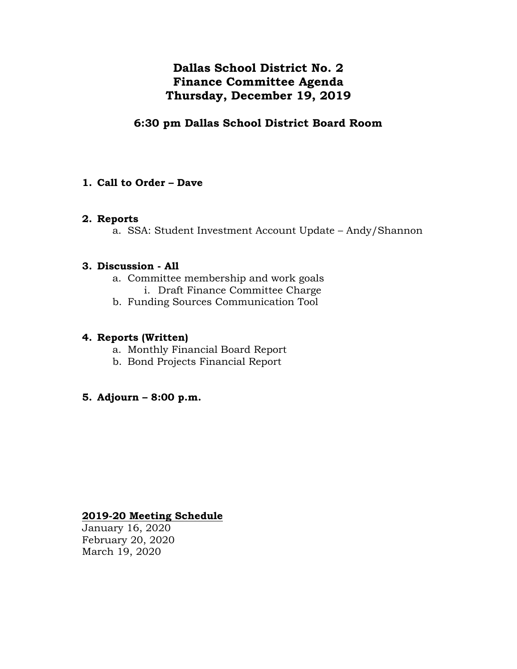# **Dallas School District No. 2 Finance Committee Agenda Thursday, December 19, 2019**

# **6:30 pm Dallas School District Board Room**

# **1. Call to Order – Dave**

## **2. Reports**

a. SSA: Student Investment Account Update – Andy/Shannon

## **3. Discussion - All**

- a. Committee membership and work goals i. Draft Finance Committee Charge
- b. Funding Sources Communication Tool

#### **4. Reports (Written)**

- a. Monthly Financial Board Report
- b. Bond Projects Financial Report
- **5. Adjourn – 8:00 p.m.**

#### **2019-20 Meeting Schedule**

January 16, 2020 February 20, 2020 March 19, 2020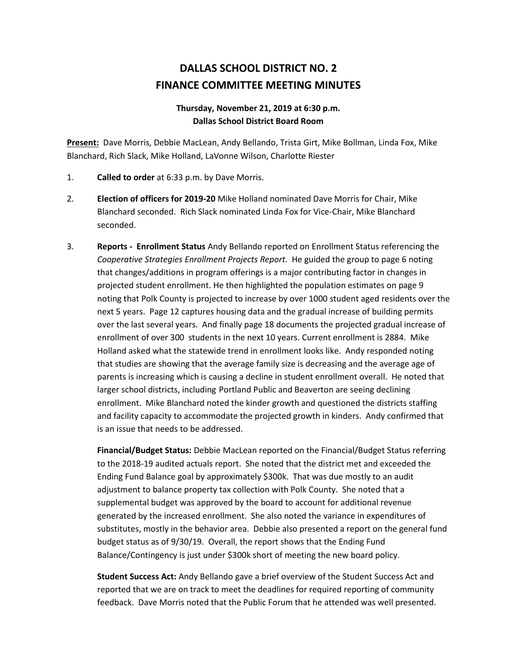# **DALLAS SCHOOL DISTRICT NO. 2 FINANCE COMMITTEE MEETING MINUTES**

## **Thursday, November 21, 2019 at 6:30 p.m. Dallas School District Board Room**

**Present:** Dave Morris, Debbie MacLean, Andy Bellando, Trista Girt, Mike Bollman, Linda Fox, Mike Blanchard, Rich Slack, Mike Holland, LaVonne Wilson, Charlotte Riester

- 1. **Called to order** at 6:33 p.m. by Dave Morris.
- 2. **Election of officers for 2019-20** Mike Holland nominated Dave Morris for Chair, Mike Blanchard seconded. Rich Slack nominated Linda Fox for Vice-Chair, Mike Blanchard seconded.
- 3. **Reports Enrollment Status** Andy Bellando reported on Enrollment Status referencing the *Cooperative Strategies Enrollment Projects Report.* He guided the group to page 6 noting that changes/additions in program offerings is a major contributing factor in changes in projected student enrollment. He then highlighted the population estimates on page 9 noting that Polk County is projected to increase by over 1000 student aged residents over the next 5 years. Page 12 captures housing data and the gradual increase of building permits over the last several years. And finally page 18 documents the projected gradual increase of enrollment of over 300 students in the next 10 years. Current enrollment is 2884. Mike Holland asked what the statewide trend in enrollment looks like. Andy responded noting that studies are showing that the average family size is decreasing and the average age of parents is increasing which is causing a decline in student enrollment overall. He noted that larger school districts, including Portland Public and Beaverton are seeing declining enrollment. Mike Blanchard noted the kinder growth and questioned the districts staffing and facility capacity to accommodate the projected growth in kinders. Andy confirmed that is an issue that needs to be addressed.

**Financial/Budget Status:** Debbie MacLean reported on the Financial/Budget Status referring to the 2018-19 audited actuals report. She noted that the district met and exceeded the Ending Fund Balance goal by approximately \$300k. That was due mostly to an audit adjustment to balance property tax collection with Polk County. She noted that a supplemental budget was approved by the board to account for additional revenue generated by the increased enrollment. She also noted the variance in expenditures of substitutes, mostly in the behavior area. Debbie also presented a report on the general fund budget status as of 9/30/19. Overall, the report shows that the Ending Fund Balance/Contingency is just under \$300k short of meeting the new board policy.

**Student Success Act:** Andy Bellando gave a brief overview of the Student Success Act and reported that we are on track to meet the deadlines for required reporting of community feedback. Dave Morris noted that the Public Forum that he attended was well presented.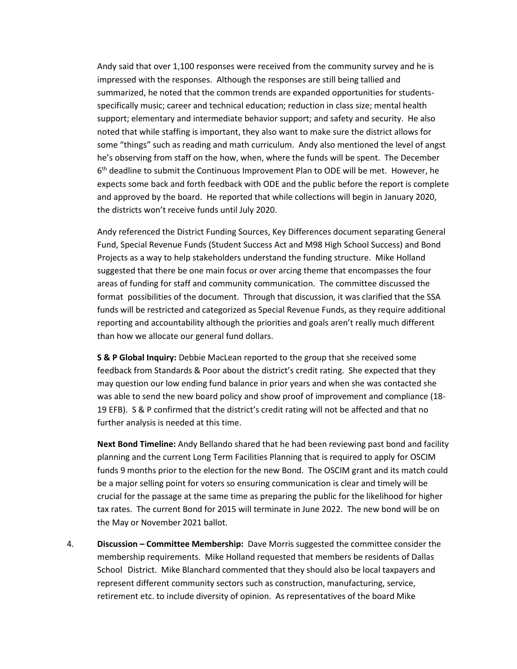Andy said that over 1,100 responses were received from the community survey and he is impressed with the responses. Although the responses are still being tallied and summarized, he noted that the common trends are expanded opportunities for studentsspecifically music; career and technical education; reduction in class size; mental health support; elementary and intermediate behavior support; and safety and security. He also noted that while staffing is important, they also want to make sure the district allows for some "things" such as reading and math curriculum. Andy also mentioned the level of angst he's observing from staff on the how, when, where the funds will be spent. The December 6<sup>th</sup> deadline to submit the Continuous Improvement Plan to ODE will be met. However, he expects some back and forth feedback with ODE and the public before the report is complete and approved by the board. He reported that while collections will begin in January 2020, the districts won't receive funds until July 2020.

Andy referenced the District Funding Sources, Key Differences document separating General Fund, Special Revenue Funds (Student Success Act and M98 High School Success) and Bond Projects as a way to help stakeholders understand the funding structure. Mike Holland suggested that there be one main focus or over arcing theme that encompasses the four areas of funding for staff and community communication. The committee discussed the format possibilities of the document. Through that discussion, it was clarified that the SSA funds will be restricted and categorized as Special Revenue Funds, as they require additional reporting and accountability although the priorities and goals aren't really much different than how we allocate our general fund dollars.

**S & P Global Inquiry:** Debbie MacLean reported to the group that she received some feedback from Standards & Poor about the district's credit rating. She expected that they may question our low ending fund balance in prior years and when she was contacted she was able to send the new board policy and show proof of improvement and compliance (18- 19 EFB). S & P confirmed that the district's credit rating will not be affected and that no further analysis is needed at this time.

**Next Bond Timeline:** Andy Bellando shared that he had been reviewing past bond and facility planning and the current Long Term Facilities Planning that is required to apply for OSCIM funds 9 months prior to the election for the new Bond. The OSCIM grant and its match could be a major selling point for voters so ensuring communication is clear and timely will be crucial for the passage at the same time as preparing the public for the likelihood for higher tax rates. The current Bond for 2015 will terminate in June 2022. The new bond will be on the May or November 2021 ballot.

4. **Discussion – Committee Membership:** Dave Morris suggested the committee consider the membership requirements. Mike Holland requested that members be residents of Dallas School District. Mike Blanchard commented that they should also be local taxpayers and represent different community sectors such as construction, manufacturing, service, retirement etc. to include diversity of opinion. As representatives of the board Mike